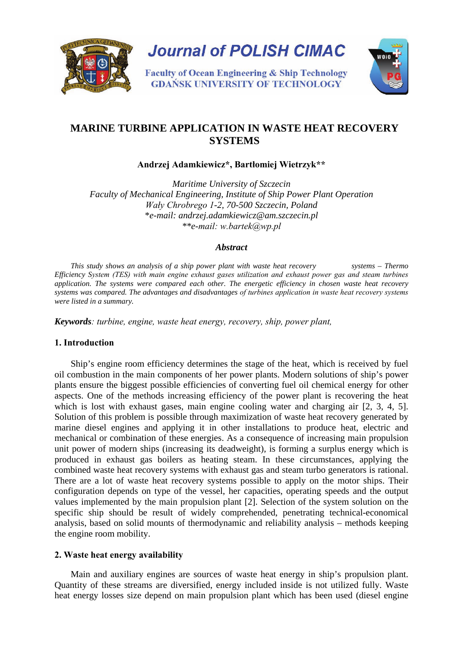

**Journal of POLISH CIMAC** 

**Faculty of Ocean Engineering & Ship Technology GDAŃSK UNIVERSITY OF TECHNOLOGY** 



# **MARINE TURBINE APPLICATION IN WASTE HEAT RECOVERY SYSTEMS**

**Andrzej Adamkiewicz\*, Bartłomiej Wietrzyk\*\***

*Maritime University of Szczecin Faculty of Mechanical Engineering, Institute of Ship Power Plant Operation Wały Chrobrego 1-2, 70-500 Szczecin, Poland*  \**e-mail: [andrzej.adamkiewicz@am.szczecin.pl](mailto:a.adamkiewicz@am.szczecin.pl) \*\*e-mail: w.bartek@wp.pl*

## *Abstract*

 *This study shows an analysis of a ship power plant with waste heat recovery systems – Thermo Efficiency System (TES) with main engine exhaust gases utilization and exhaust power gas and steam turbines application. The systems were compared each other. The energetic efficiency in chosen waste heat recovery systems was compared. The advantages and disadvantages of turbines application in waste heat recovery systems were listed in a summary.*

*Keywords: turbine, engine, waste heat energy, recovery, ship, power plant,* 

# **1. Introduction**

Ship's engine room efficiency determines the stage of the heat, which is received by fuel oil combustion in the main components of her power plants. Modern solutions of ship's power plants ensure the biggest possible efficiencies of converting fuel oil chemical energy for other aspects. One of the methods increasing efficiency of the power plant is recovering the heat which is lost with exhaust gases, main engine cooling water and charging air [2, 3, 4, 5]. Solution of this problem is possible through maximization of waste heat recovery generated by marine diesel engines and applying it in other installations to produce heat, electric and mechanical or combination of these energies. As a consequence of increasing main propulsion unit power of modern ships (increasing its deadweight), is forming a surplus energy which is produced in exhaust gas boilers as heating steam. In these circumstances, applying the combined waste heat recovery systems with exhaust gas and steam turbo generators is rational. There are a lot of waste heat recovery systems possible to apply on the motor ships. Their configuration depends on type of the vessel, her capacities, operating speeds and the output values implemented by the main propulsion plant [2]. Selection of the system solution on the specific ship should be result of widely comprehended, penetrating technical-economical analysis, based on solid mounts of thermodynamic and reliability analysis – methods keeping the engine room mobility.

# **2. Waste heat energy availability**

 Main and auxiliary engines are sources of waste heat energy in ship's propulsion plant. Quantity of these streams are diversified, energy included inside is not utilized fully. Waste heat energy losses size depend on main propulsion plant which has been used (diesel engine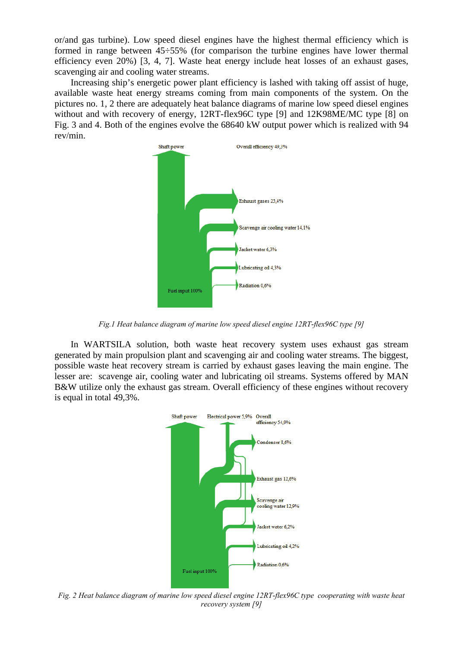or/and gas turbine). Low speed diesel engines have the highest thermal efficiency which is formed in range between 45÷55% (for comparison the turbine engines have lower thermal efficiency even 20%) [3, 4, 7]. Waste heat energy include heat losses of an exhaust gases, scavenging air and cooling water streams.

 Increasing ship's energetic power plant efficiency is lashed with taking off assist of huge, available waste heat energy streams coming from main components of the system. On the pictures no. 1, 2 there are adequately heat balance diagrams of marine low speed diesel engines without and with recovery of energy, 12RT-flex96C type [9] and 12K98ME/MC type [8] on Fig. 3 and 4. Both of the engines evolve the 68640 kW output power which is realized with 94 rev/min.



*Fig.1 Heat balance diagram of marine low speed diesel engine 12RT-flex96C type [9]*

 In WARTSILA solution, both waste heat recovery system uses exhaust gas stream generated by main propulsion plant and scavenging air and cooling water streams. The biggest, possible waste heat recovery stream is carried by exhaust gases leaving the main engine. The lesser are: scavenge air, cooling water and lubricating oil streams. Systems offered by MAN B&W utilize only the exhaust gas stream. Overall efficiency of these engines without recovery is equal in total 49,3%.



*Fig. 2 Heat balance diagram of marine low speed diesel engine 12RT-flex96C type cooperating with waste heat recovery system [9]*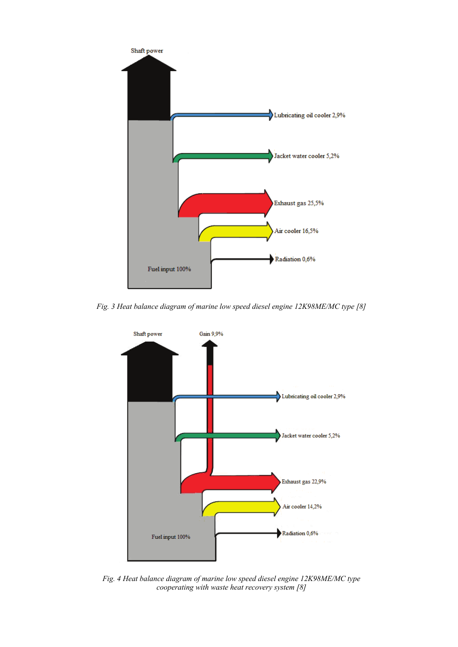

*Fig. 3 Heat balance diagram of marine low speed diesel engine 12K98ME/MC type [8]*



*Fig. 4 Heat balance diagram of marine low speed diesel engine 12K98ME/MC type cooperating with waste heat recovery system [8]*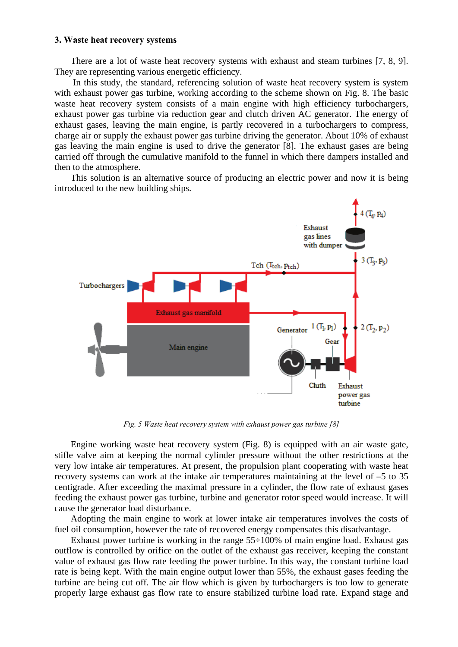#### **3. Waste heat recovery systems**

There are a lot of waste heat recovery systems with exhaust and steam turbines [7, 8, 9]. They are representing various energetic efficiency.

 In this study, the standard, referencing solution of waste heat recovery system is system with exhaust power gas turbine, working according to the scheme shown on Fig. 8. The basic waste heat recovery system consists of a main engine with high efficiency turbochargers, exhaust power gas turbine via reduction gear and clutch driven AC generator. The energy of exhaust gases, leaving the main engine, is partly recovered in a turbochargers to compress, charge air or supply the exhaust power gas turbine driving the generator. About 10% of exhaust gas leaving the main engine is used to drive the generator [8]. The exhaust gases are being carried off through the cumulative manifold to the funnel in which there dampers installed and then to the atmosphere.

 This solution is an alternative source of producing an electric power and now it is being introduced to the new building ships.



*Fig. 5 Waste heat recovery system with exhaust power gas turbine [8]*

 Engine working waste heat recovery system (Fig. 8) is equipped with an air waste gate, stifle valve aim at keeping the normal cylinder pressure without the other restrictions at the very low intake air temperatures. At present, the propulsion plant cooperating with waste heat recovery systems can work at the intake air temperatures maintaining at the level of –5 to 35 centigrade. After exceeding the maximal pressure in a cylinder, the flow rate of exhaust gases feeding the exhaust power gas turbine, turbine and generator rotor speed would increase. It will cause the generator load disturbance.

 Adopting the main engine to work at lower intake air temperatures involves the costs of fuel oil consumption, however the rate of recovered energy compensates this disadvantage.

Exhaust power turbine is working in the range  $55\div 100\%$  of main engine load. Exhaust gas outflow is controlled by orifice on the outlet of the exhaust gas receiver, keeping the constant value of exhaust gas flow rate feeding the power turbine. In this way, the constant turbine load rate is being kept. With the main engine output lower than 55%, the exhaust gases feeding the turbine are being cut off. The air flow which is given by turbochargers is too low to generate properly large exhaust gas flow rate to ensure stabilized turbine load rate. Expand stage and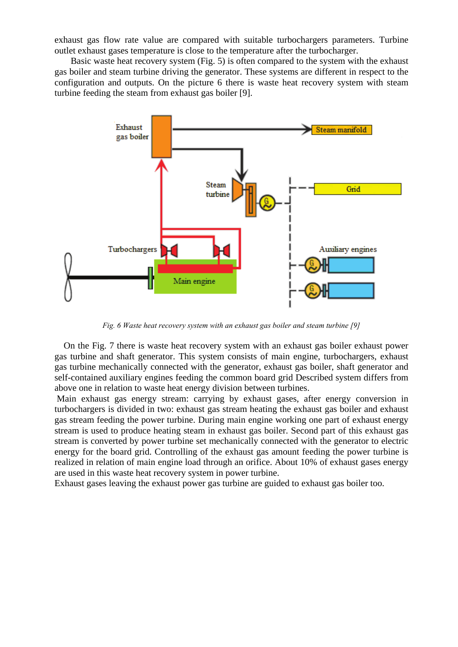exhaust gas flow rate value are compared with suitable turbochargers parameters. Turbine outlet exhaust gases temperature is close to the temperature after the turbocharger.

 Basic waste heat recovery system (Fig. 5) is often compared to the system with the exhaust gas boiler and steam turbine driving the generator. These systems are different in respect to the configuration and outputs. On the picture 6 there is waste heat recovery system with steam turbine feeding the steam from exhaust gas boiler [9].



*Fig. 6 Waste heat recovery system with an exhaust gas boiler and steam turbine [9]*

 On the Fig. 7 there is waste heat recovery system with an exhaust gas boiler exhaust power gas turbine and shaft generator. This system consists of main engine, turbochargers, exhaust gas turbine mechanically connected with the generator, exhaust gas boiler, shaft generator and self-contained auxiliary engines feeding the common board grid Described system differs from above one in relation to waste heat energy division between turbines.

Main exhaust gas energy stream: carrying by exhaust gases, after energy conversion in turbochargers is divided in two: exhaust gas stream heating the exhaust gas boiler and exhaust gas stream feeding the power turbine. During main engine working one part of exhaust energy stream is used to produce heating steam in exhaust gas boiler. Second part of this exhaust gas stream is converted by power turbine set mechanically connected with the generator to electric energy for the board grid. Controlling of the exhaust gas amount feeding the power turbine is realized in relation of main engine load through an orifice. About 10% of exhaust gases energy are used in this waste heat recovery system in power turbine.

Exhaust gases leaving the exhaust power gas turbine are guided to exhaust gas boiler too.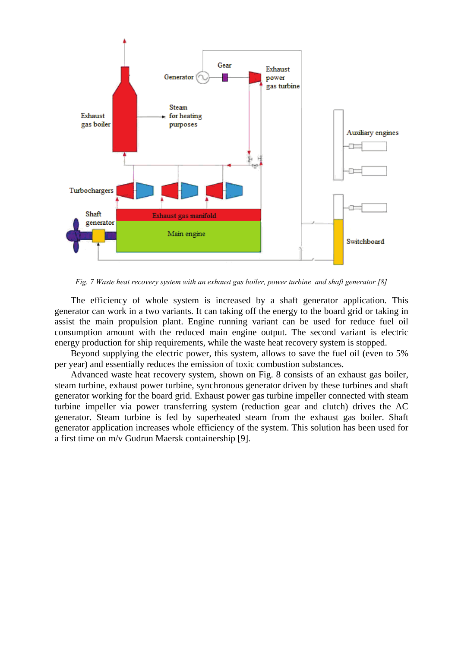

*Fig. 7 Waste heat recovery system with an exhaust gas boiler, power turbine and shaft generator [8]*

 The efficiency of whole system is increased by a shaft generator application. This generator can work in a two variants. It can taking off the energy to the board grid or taking in assist the main propulsion plant. Engine running variant can be used for reduce fuel oil consumption amount with the reduced main engine output. The second variant is electric energy production for ship requirements, while the waste heat recovery system is stopped.

 Beyond supplying the electric power, this system, allows to save the fuel oil (even to 5% per year) and essentially reduces the emission of toxic combustion substances.

 Advanced waste heat recovery system, shown on Fig. 8 consists of an exhaust gas boiler, steam turbine, exhaust power turbine, synchronous generator driven by these turbines and shaft generator working for the board grid. Exhaust power gas turbine impeller connected with steam turbine impeller via power transferring system (reduction gear and clutch) drives the AC generator. Steam turbine is fed by superheated steam from the exhaust gas boiler. Shaft generator application increases whole efficiency of the system. This solution has been used for a first time on m/v Gudrun Maersk containership [9].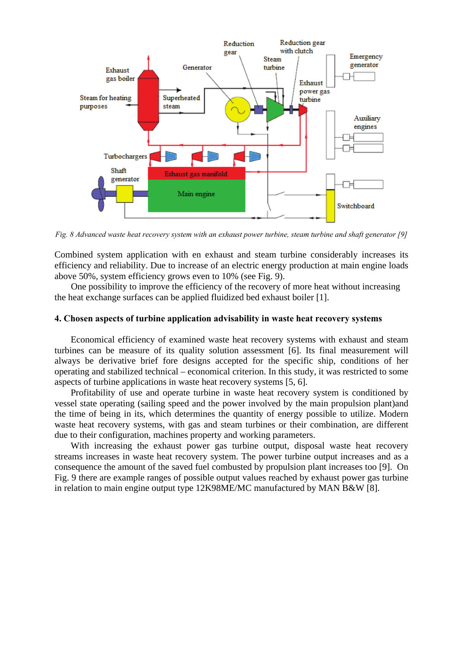

*Fig. 8 Advanced waste heat recovery system with an exhaust power turbine, steam turbine and shaft generator [9]*

Combined system application with en exhaust and steam turbine considerably increases its efficiency and reliability. Due to increase of an electric energy production at main engine loads above 50%, system efficiency grows even to 10% (see Fig. 9).

One possibility to improve the efficiency of the recovery of more heat without increasing the heat exchange surfaces can be applied fluidized bed exhaust boiler [1].

#### **4. Chosen aspects of turbine application advisability in waste heat recovery systems**

 Economical efficiency of examined waste heat recovery systems with exhaust and steam turbines can be measure of its quality solution assessment [6]. Its final measurement will always be derivative brief fore designs accepted for the specific ship, conditions of her operating and stabilized technical – economical criterion. In this study, it was restricted to some aspects of turbine applications in waste heat recovery systems [5, 6].

 Profitability of use and operate turbine in waste heat recovery system is conditioned by vessel state operating (sailing speed and the power involved by the main propulsion plant)and the time of being in its, which determines the quantity of energy possible to utilize. Modern waste heat recovery systems, with gas and steam turbines or their combination, are different due to their configuration, machines property and working parameters.

 With increasing the exhaust power gas turbine output, disposal waste heat recovery streams increases in waste heat recovery system. The power turbine output increases and as a consequence the amount of the saved fuel combusted by propulsion plant increases too [9]. On Fig. 9 there are example ranges of possible output values reached by exhaust power gas turbine in relation to main engine output type 12K98ME/MC manufactured by MAN B&W [8].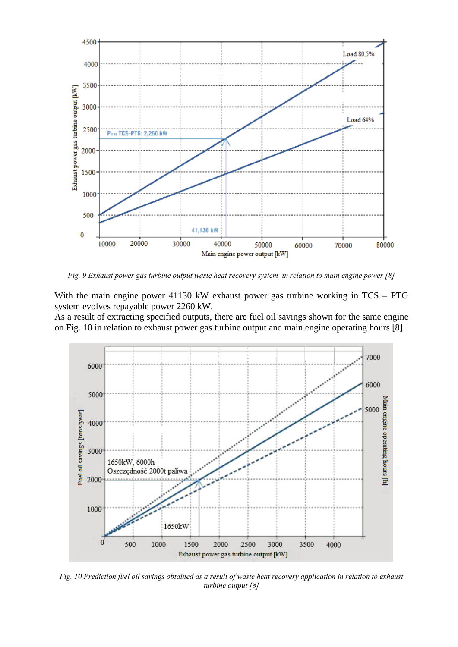

*Fig. 9 Exhaust power gas turbine output waste heat recovery system in relation to main engine power [8]*

With the main engine power 41130 kW exhaust power gas turbine working in TCS – PTG system evolves repayable power 2260 kW.

As a result of extracting specified outputs, there are fuel oil savings shown for the same engine on Fig. 10 in relation to exhaust power gas turbine output and main engine operating hours [8].



*Fig. 10 Prediction fuel oil savings obtained as a result of waste heat recovery application in relation to exhaust turbine output [8]*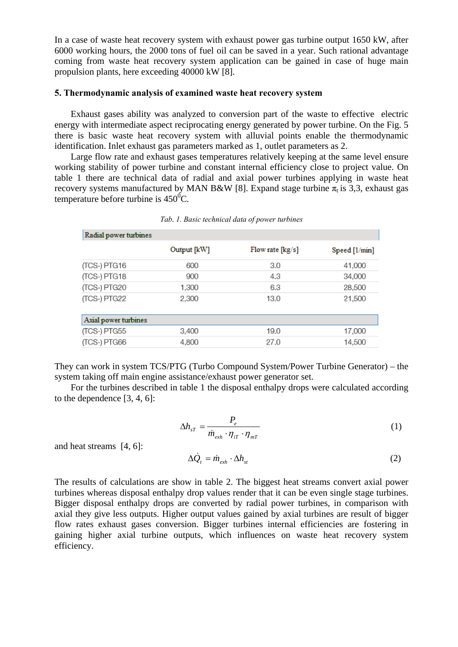In a case of waste heat recovery system with exhaust power gas turbine output 1650 kW, after 6000 working hours, the 2000 tons of fuel oil can be saved in a year. Such rational advantage coming from waste heat recovery system application can be gained in case of huge main propulsion plants, here exceeding 40000 kW [8].

#### **5. Thermodynamic analysis of examined waste heat recovery system**

Exhaust gases ability was analyzed to conversion part of the waste to effective electric energy with intermediate aspect reciprocating energy generated by power turbine. On the Fig. 5 there is basic waste heat recovery system with alluvial points enable the thermodynamic identification. Inlet exhaust gas parameters marked as 1, outlet parameters as 2.

 Large flow rate and exhaust gases temperatures relatively keeping at the same level ensure working stability of power turbine and constant internal efficiency close to project value. On table 1 there are technical data of radial and axial power turbines applying in waste heat recovery systems manufactured by MAN B&W [8]. Expand stage turbine  $\pi_t$  is 3,3, exhaust gas temperature before turbine is  $450^{\circ}$ C.

| Radial power turbines |             |                  |                 |  |
|-----------------------|-------------|------------------|-----------------|--|
|                       | Output [kW] | Flow rate [kg/s] | Speed $[1/min]$ |  |
| (TCS-) PTG16          | 600         | 3.0              | 41,000          |  |
| (TCS-) PTG18          | 900         | 4.3              | 34,000          |  |
| (TCS-) PTG20          | 1,300       | 6.3              | 28,500          |  |
| (TCS-) PTG22          | 2.300       | 13.0             | 21,500          |  |
| Axial power turbines  |             |                  |                 |  |
| (TCS-) PTG55          | 3.400       | 19.0             | 17,000          |  |
| (TCS-) PTG66          | 4,800       | 27.0             | 14,500          |  |

*Tab. 1. Basic technical data of power turbines*

They can work in system TCS/PTG (Turbo Compound System/Power Turbine Generator) – the system taking off main engine assistance/exhaust power generator set.

 For the turbines described in table 1 the disposal enthalpy drops were calculated according to the dependence [3, 4, 6]:

$$
\Delta h_{sT} = \frac{P_e}{\dot{m}_{exh} \cdot \eta_{iT} \cdot \eta_{mT}}
$$
 (1)

and heat streams [4, 6]:

$$
\Delta \dot{Q}_t = \dot{m}_{exh} \cdot \Delta h_{st} \tag{2}
$$

The results of calculations are show in table 2. The biggest heat streams convert axial power turbines whereas disposal enthalpy drop values render that it can be even single stage turbines. Bigger disposal enthalpy drops are converted by radial power turbines, in comparison with axial they give less outputs. Higher output values gained by axial turbines are result of bigger flow rates exhaust gases conversion. Bigger turbines internal efficiencies are fostering in gaining higher axial turbine outputs, which influences on waste heat recovery system efficiency.